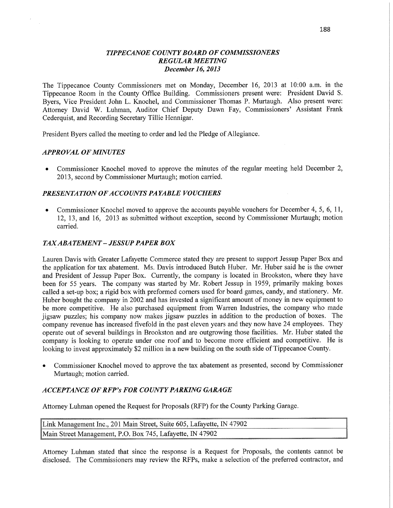### *TIPPE CANOE* CO *UNTY BOARD* OF *COMMISSIONERS REGULAR MEETING December* 16, *2013*

The Tippecanoe County Commissioners met on Monday, December 16, 2013 at **10:00** am. in the Tippecanoe Room in the County Office Building. Commissioners present were: President David S. Byers, Vice President John L. Knochel, and Commissioner **Thomas** P. Murtaugh. Also present were: **Attorney** David W. **Luhman,** Auditor Chief Deputy Dawn Fay, Commissioners' Assistant **Frank**  Cederquist, and Recording Secretary Tillie Hennigar.

President Byers called the meeting to order and led the Pledge of Allegiance.

### *APPRO* VAL OF *MINUTES*

**0** Commissioner Knochel **moved** to approve the minutes of the regular meeting held December 2, 2013, second by Commissioner Murtaugh; **motion** carried.

### *PRESENTATION OFACCO UNTS PAYABLE VOUCHERS*

**0** Commissioner Knochel moved to approve the accounts payable vouchers for December 4, S, 6, 11, 12, 13, and 16, 2013 as submitted without exception, second by Commissioner Muttaugh; **motion**  carried.

### $TAX ABATEMENT - JESSUP PAPER BOX$

Lauren Davis with Greater Lafayette Commerce stated they are present to support Jessup Paper Box and the application for tax abatement. Ms. Davis introduced Butch Huber. Mr. Huber said he is the owner and President of Jessup Paper Box. Currently, the company is located in Brookston, where they have been for 55 years. The company was started by Mr. Robert Jessup in 1959, primarily making boxes called a set-up box; a **rigid** box with preformed corners used for board games, candy, and stationery. Mr. Huber bought the company in 2002 and has invested a significant amount of money in new equipment to be more competitive. He also purchased equipment from Warren Industries, the company who made jigsaw puzzles; his company now makes jigsaw puzzles in addition to the production of boxes. The company revenue has increased fivefold in the past eleven years and they now have 24 employees. They operate out of several buildings in Brookston and are outgrowing those facilities. Mr. Huber stated the company is looking to operate under one roof and to become more efficient and competitive. He is looking to invest approximately \$2 million in a new building on the south side of Tippecanoe County.

**0** Commissioner Knochel moved to approve the tax abatement as presented, second by Commissioner Murtaugh; motion carried.

### *ACCEPTANCE* OF *RFP'S* FOR *COUNTY PARKING GARAGE*

Attorney Luhman opened the Request for Proposals (RFP) for the County Parking Garage.

| Link Management Inc., 201 Main Street, Suite 605, Lafayette, IN 47902 |  |  |
|-----------------------------------------------------------------------|--|--|
| Main Street Management, P.O. Box 745, Lafayette, IN 47902             |  |  |

Attorney Luhman stated that since the response is a Request for Proposals, the contents cannot be disclosed. The Commissioners may review the RFPs, make a selection of the preferred contractor, and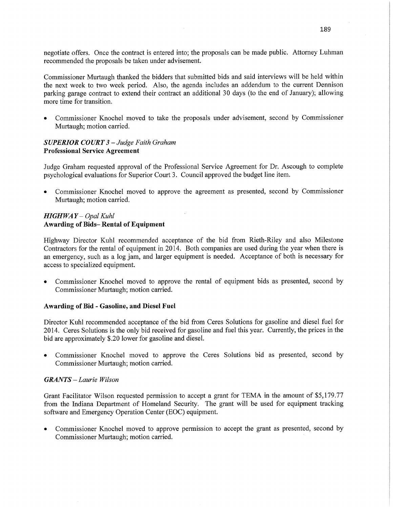negotiate offers. Once the contract is entered into; the proposals can be made public. Attorney Luhman recommended the proposals be taken **under** advisement.

Commissioner Murtaugh thanked the bidders that submitted bids and said interviews will be held within the next week to two week period. **Also,** the agenda includes an addendum to the current **Dennison**  parking garage contract to extend their contract an additional 30 days (to the end of January); allowing more time for transition.

**0** Commissioner Knochel moved to take the proposals under advisement, second by Commissioner Murtaugh; motion carried.

### *SUPERIOR COURT 3* **—** *Judge Faith Graham*  **Professional Service Agreement**

Judge Graham requested approval of the Professional Service Agreement for Dr; Ascough to **complete**  psychological evaluations for Superior **Court** 3. Council approved the budget line item.

**0** Commissioner Knochel moved to approve the agreement as presented, second by Commissioner Murtaugh; motion carried.

# *HIGH* WA *Y — Opal Kuhl*  **Awarding** of **Bids— Rental** of **Equipment**

Highway Director Kuhl **recommended** acceptance of the bid **from** Kieth-Riley and **also** Milestone Contractors for the rental of equipment in 2014. Both companies are used during the year when there is an emergency, such as <sup>a</sup>log **jam,** and larger equipment is needed. Acceptance of both is necessary for access to specialized equipment.

**0** Commissioner Knochel moved to approve the rental of equipment bids as presented, second by **Commissioner** Murtaugh; motion carried.

# **Awarding** of Bid *-* **Gasoline,** and Diesel **Fuel**

Director Kuhl recommended acceptance of the bid from Ceres Solutions for gasoline and diesel fuel for **2014. Ceres** Solutions is the only bid received for gasoline and fuel this year. Currently, the prices in the bid are approximately \$.20 lower for gasoline and diesel.

**0** Commissioner Knochel moved to approve the Ceres Solutions bid as presented, second by Commissioner Murtaugh; motion carried.

### *GRANTS — Laurie Wilson*

**Grant** Facilitator Wilson requested permission to accept a grant for **TEMA** in the amount of \$5,179.77 from the Indiana Department of Homeland Security. The grant will be used for equipment tracking software and Emergency Operation Center (EOC) equipment.

**0** Commissioner Knochel **moved** to approve permission to accept the grant as presented, second by Commissioner Murtaugh; motion **carried.** '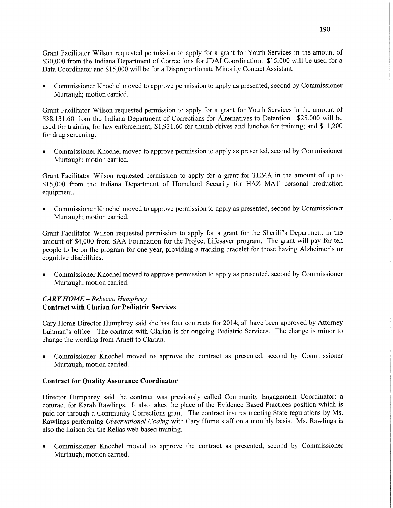Grant Facilitator Wilson requested permission to apply for a grant for Youth Services in the amount of \$30,000 from the **Indiana** Department of **Corrections** for JDAI Coordination. \$15,000 will be used for a Data Coordinator and \$15,000 will be for a Disproportionate Minority Contact Assistant.

**0** Commissioner Knochel moved to approve permission to apply as presented, second by Commissioner Murtaugh; motion carried.

Grant Facilitator Wilson requested permission to apply for a grant for Youth Services in the amount of \$3 8,131.60 from the Indiana Department of Corrections for Alternatives to Detention. \$25,000 will be used for training for law enforcement; \$1,931.60 for thumb drives and lunches for training; and \$11,200 for drug screening.

**0** Commissioner Knochel moved to approve permission to apply as presented, second by Commissioner Murtaugh; motion **carried.** 

Grant Facilitator **Wilson** requested **permission** to apply for **a** grant for TEMA in the amount of up to \$15,000 from the Indiana Department of **Homeland** Security for HAZ MAT personal production equipment.

**0** Commissioner Knochel moved to approve permission to apply as presented, second by Commissioner Murtaugh; **motion** carried.

Grant Facilitator Wilson requested permission to apply for a grant for the Sheriff's Department in the amount of \$4,000 from SAA Foundation for the Project Lifesaver **program.** The **grant** will pay for ten people to be on the program for one year, providing a tracking bracelet for those **having** Alzheimer's or cognitive disabilities.

**0** Commissioner Knochel moved to approve permission to apply as presented, second by Commissioner Murtaugh; motion carried.

# *CARY HOME* **—** *Rebecca Humphrey*  **Contract with Clarian** for **Pediatric Services**

Cary Home Director Humphrey said she has four contracts for 2014; all have been approved by Attorney Luhman's **office.** The **contract** with Clarian is for ongoing Pediatric Services. The **change** is minor to change the wording **from** Amett to Clarian.

**0** Commissioner Knochel moved to approve the contract as presented, second by Commissioner Murtaugh; motion carried.

### **Contract** for **Quality Assurance Coordinator**

Director Humphrey said the contract was previously called Community Engagement Coordinator; **<sup>a</sup>** contract for Karah Rawlings. It also takes the place of the Evidence Based Practices position which is paid for through a Community Corrections grant. The contract insures meeting State regulations by Ms. Rawlings performing *Observational Coding* with Cary Home staff on a monthly basis. Ms. Rawlings is also the liaison for the Relias web-based **training.** 

**0** Commissioner Knochel moved to approve the contract as presented, second by Commissioner Murtaugh; **motion** carried.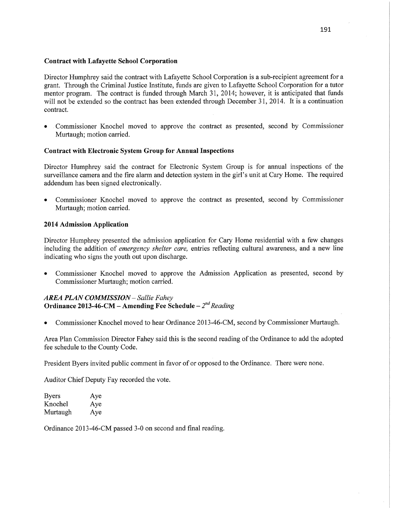### **Contract** with **Lafayette** School **Corporation**

Director Humphrey said the contract with Lafayette School Corporation is a sub-recipient agreement for <sup>a</sup> grant. Through the Criminal Justice Institute, funds are given to Lafayette School Corporation for a tutor mentor program. The contract is funded through March 31, 2014; however, it is anticipated **that** funds will not be extended so the contract has been extended through December 31, 2014. It is a continuation contract.

**0** Commissioner Knochel moved to approve the contract as presented, second by Commissioner Murtaugh; motion carried.

# **Contract with Electronic System Group** for **Annual** Inspections

Director Humphrey said the contract for Electronic System Group is for annual inspections of the surveillance camera and the fire alarm and detection system in the girl's unit at Cary Home. The required addendum has been signed electronically.

**0** Commissioner Knochel moved to approve the contract as presented, second by Commissioner Murtaugh; motion carried.

### **2014** Admission Application

Director Humphrey presented the admission application for Cary Home residential with a few changes including the addition of *emergency shelter care,* entries reflecting cultural awareness, and a new line indicating who signs the youth out upon discharge.

**0** Commissioner Knochel moved to approve the Admission Application as presented, second by Commissioner Murtaugh; motion carried.

# *AREA PLAN COMMISSION* — *Sallie F ahey*  **Ordinance 2013-46-CM – Amending Fee Schedule –**  $2^{nd}$  **Reading**

**0** Commissioner Knochel moved to hear Ordinance 2013-46-CM, second by Commissioner Murtaugh.

Area Plan Commission Director Fahéy said this is the second reading of the Ordinance to add the adopted fee schedule to the County Code.

President Byers invited public comment in favor of or opposed to the Ordinance. There were none.

Auditor Chief Deputy Fay recorded the vote.

| Byers    | Aye |
|----------|-----|
| Knochel  | Aye |
| Murtaugh | Aye |

Ordinance 2013-46-CM passed 3—0 on second and final reading.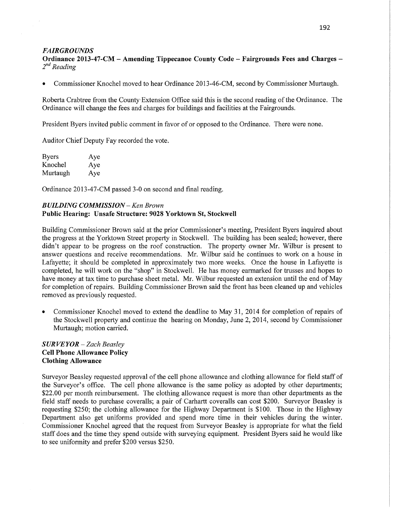#### *FAIRGROUNDS*

**Ordinance 2013—47-CM** -— Amending **Tippecanoe** County **Code - Fairgrounds Fees** and **Charges —** 2<sup>nd</sup> Reading

**0** Commissioner Knochel moved to hear Ordinance 2013-46-CM, second by Commissioner Murtaugh.

Roberta Crabtree from the County-Extension Office said this is the second reading of the Ordinance. The Ordinance will change the fees and charges for buildings and facilities at the Fairgrounds.

President Byers invited public comment in favor of or opposed to the Ordinance. There were none.

Auditor Chief Deputy Fay recorded the vote.

| <b>Byers</b> | Aye |
|--------------|-----|
| Knochel      | Aye |
| Murtaugh     | Aye |

Ordinance 2013-47-CM passed 3-0 on second and final reading.

## *BUILDING COMMISSION —* Ken *Brown*  **Public Hearing: Unsafe Structure: 9028 Yorktown** St, Stockwell

Building Commissioner Brown said at the prior Commissioner's meeting, President Byers inquired about the progress at the Yorktown Street property in Stockwell. The building has been sealed; however, there didn't appear to be progress on the roof construction. The property owner Mr. Wilbur is present to answer questions and receive recommendations. Mr. Wilbur said he continues to work on a house in Lafayette; it should be completed in approximately two more weeks. Once the house in Lafayette is completed, he will work on the "shop" in Stockwell. He has money earmarked for trusses and hopes to have money at tax time to purchase sheet metal. Mr. Wilbur requested an extension until the end of May for completion of repairs. Building Commissioner Brown said the front has been cleaned up and vehicles removed as previously requested.

**0** Commissioner Knochel moved to extend the deadline to May 31, 2014 for completion of repairs of the Stockwell property and continue the hearing on Monday, June 2, 2014, second by Commissioner Murtaugh; motion carried.

# *S* UR VE *Y* 0R **—** *Zach Beasley*  Cell Phone **Allowance Policy**  Clothing **Allowance**

Surveyor Beasley requested approval of the cell phone allowance and clothing allowance for field staff of the Surveyor's office. The cell phone allowance is the same policy as adopted by other departments; \$22.00 per month reimbursement. The clothing allowance request is more than other departments as the field staff needs to purchase coveralls; <sup>a</sup>pair of Carhartt coveralls can cost \$200. Surveyor Beasley is requesting \$250; the clothing allowance for the Highway Department is **\$100.** Those in the Highway Department also get uniforms provided and spend more time in their vehicles during the winter. Commissioner Knochel agreed that the request from Surveyor Beasley is appropriate for what the field staff does and the time they spend outside with surveying equipment. President Byers said he would like to see uniformity and prefer \$200 versus \$250.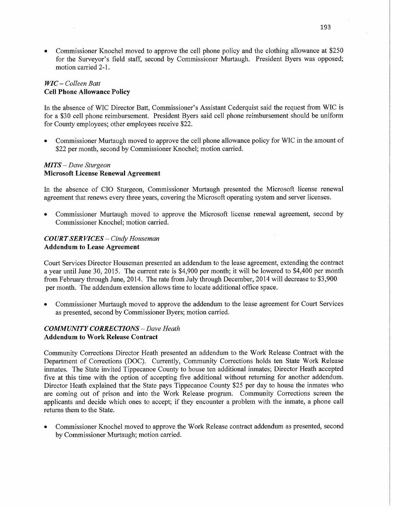• Commissioner Knochel moved to approve the cell phone policy and the clothing allowance at \$250 for the Surveyor's field staff, second by Commissioner Murtaugh. President Byers was opposed; motion carried **2-1.** 

# WIC **—** *Colleen Batt*  **Cell Phone Allowance Policy**

In the absence of WIC Director **Batt,** Commissioner's **Assistant** Cederquist said the request from WIC is for **a** \$30 cell phone reimbursement. President Byers said cell phone reimbursement should be uniform for County employees; other employees receive \$22.

**0** Commissioner Murtaugh moved to approve the cell phone allowance policy for WIC in the amount of \$22 per month, second by Commissioner Knochel; motion carried.

### MI TS —- *Dave Sturgeon*  **Microsoft License Renewal Agreement**

In the absence of C10 Sturgeon, Commissioner Murtaugh presented the Microsofi license renewal agreement that renews every three years, covering the Microsoft operating system and server **licenses.** 

**0** Commissioner Murtaugh moved to approve the Microsoft license renewal agreement, second by Commissioner Knochel; **motion** carried.

# *COURT* SER *WCES* **—** *Cindy Houseman*  **Addendum** to **Lease Agreement**

Court Services Director Houseman presented an addendum to the lease agreement, extending the contract <sup>a</sup>year until June 30, 2015. The current rate is \$4,900 per **month;** it will be lowered to \$4,400 per month from February through June, 2014. The rate from July through December, 2014 will decrease to \$3,900 per month. The **addendum** extension allows time to locate additional office space.

**0** Commissioner Murtaugh moved to approve the addendum to the **lease** agreement for **Court Services**  as presented, second by Commissioner Byers; motion **carried.** 

# *COMMUNITY CORRECTIONS* —— *Dave Heath*  **Addendum** to **Work Release Contract**

Community Corrections Director Heath presented an addendum to the Work Release Contract with the Department of Corrections (DOC). Currently, Community Corrections holds ten State Work Release inmates. The State invited Tippecanoe County to house ten additional inmates; Director Heath accepted five at this time with the option of accepting five additional without returning for another addendum. Director Heath explained that the **State** pays Tippecanoe County \$25 per day to house the inmates who are coming out of prison and into the Work Release program. Community Corrections screen the applicants and decide which ones to accept; if they encounter a problem with the inmate, a phone call returns **them** to the State.

**0** Commissioner Knochel moved to approve the Work Release contract addendum as presented, second by Commissioner Murtaugh; motion carried.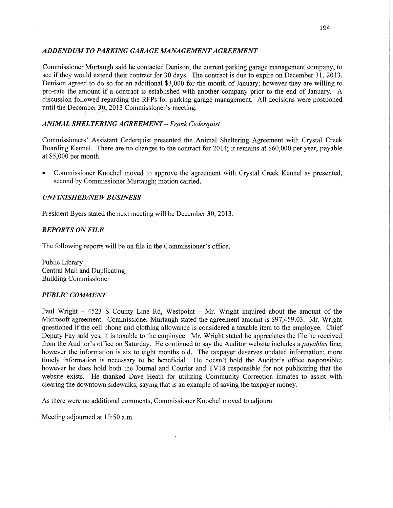### *ADDENDUM T 0 PARKING GARAGE MANA GEMENT A GREEMENT*

Commissioner Murtaugh said he contacted Denison, the current parking garage management company, to see if they would extend their contract for 30 days. The contract is due to expire on December 31, 2013. Denison agreed to do so for an additional \$3,000 for the month of January; however they are willing to pro-rate the amount if a contract is established with another company prior to the end of January. **A**  discussion followed regarding the RFPs for parking garage management. All decisions were postponed until the December 30, 2013 Commissioner's meeting.

# *ANIMAL SHEL TERIN G A GREEMEN T .— F rank Cederquz'st*

Commissioners' Assistant Cederquist presented the Animal Sheltering Agreement with Crystal Creek Boarding Kennel. There are no changes to the contract for 2014; it remains at \$60,000 per year, payable at \$5,000 per month.

**0** Commissioner Knochel moved to approve the agreement with Crystal Creek Kennel as presented, second by Commissioner Murtaugh; motion carried.

# *UNFINISHED/NEW BUSINESS*

President Byers stated the next meeting will be December 30, 2013.

# *REPORTS* ON *FILE*

The following reports will be on file in the Commissioner's office.

Public Library Central Mail and Duplicating Building Commissioner

# *PUBLIC COMMENT*

Paul Wright —— 4523 S County Line Rd, Westpoint **—** Mr. Wright inquired about the amount of the Microsoft agreement. Commissioner Murtaugh stated the agreement amount is \$97,459.03. Mr. Wright questioned if the cell phone and clothing allowance is considered a taxable item to the employee. Chief Deputy Fay said yes, it is taxable to the employee. Mr. Wright stated he appreciates the file he received from the Auditor's office on Saturday. He continued to say the Auditor website includes a *payables* line; however the information is six to eight months old. The taxpayer deserves updated information; more timely information is necessary to be beneficial. He doesn't hold the Auditor's office responsible; however he does hold both the Journal and Courier and **TV18** responsible for not publicizing **that** the website exists. He thanked Dave Heath for utilizing Community Correction inmates to assist with clearing the downtown sidewalks, saying that is an example of saving the taxpayer money.

As there were no additional comments, Commissioner Knochel moved to adjourn.

Meeting adjourned at 10:50 **am.**